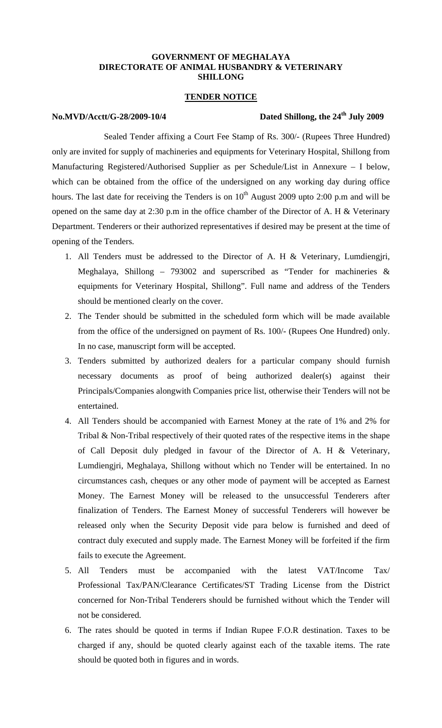### **GOVERNMENT OF MEGHALAYA DIRECTORATE OF ANIMAL HUSBANDRY & VETERINARY SHILLONG**

### **TENDER NOTICE**

## **No.MVD/Acctt/G-28/2009-10/4 Dated Shillong, the 24th July 2009**

Sealed Tender affixing a Court Fee Stamp of Rs. 300/- (Rupees Three Hundred) only are invited for supply of machineries and equipments for Veterinary Hospital, Shillong from Manufacturing Registered/Authorised Supplier as per Schedule/List in Annexure – I below, which can be obtained from the office of the undersigned on any working day during office hours. The last date for receiving the Tenders is on  $10<sup>th</sup>$  August 2009 upto 2:00 p.m and will be opened on the same day at 2:30 p.m in the office chamber of the Director of A. H & Veterinary Department. Tenderers or their authorized representatives if desired may be present at the time of opening of the Tenders.

- 1. All Tenders must be addressed to the Director of A. H & Veterinary, Lumdiengjri, Meghalaya, Shillong - 793002 and superscribed as "Tender for machineries  $\&$ equipments for Veterinary Hospital, Shillong". Full name and address of the Tenders should be mentioned clearly on the cover.
- 2. The Tender should be submitted in the scheduled form which will be made available from the office of the undersigned on payment of Rs. 100/- (Rupees One Hundred) only. In no case, manuscript form will be accepted.
- 3. Tenders submitted by authorized dealers for a particular company should furnish necessary documents as proof of being authorized dealer(s) against their Principals/Companies alongwith Companies price list, otherwise their Tenders will not be entertained.
- 4. All Tenders should be accompanied with Earnest Money at the rate of 1% and 2% for Tribal & Non-Tribal respectively of their quoted rates of the respective items in the shape of Call Deposit duly pledged in favour of the Director of A. H & Veterinary, Lumdiengjri, Meghalaya, Shillong without which no Tender will be entertained. In no circumstances cash, cheques or any other mode of payment will be accepted as Earnest Money. The Earnest Money will be released to the unsuccessful Tenderers after finalization of Tenders. The Earnest Money of successful Tenderers will however be released only when the Security Deposit vide para below is furnished and deed of contract duly executed and supply made. The Earnest Money will be forfeited if the firm fails to execute the Agreement.
- 5. All Tenders must be accompanied with the latest VAT/Income Tax/ Professional Tax/PAN/Clearance Certificates/ST Trading License from the District concerned for Non-Tribal Tenderers should be furnished without which the Tender will not be considered.
- 6. The rates should be quoted in terms if Indian Rupee F.O.R destination. Taxes to be charged if any, should be quoted clearly against each of the taxable items. The rate should be quoted both in figures and in words.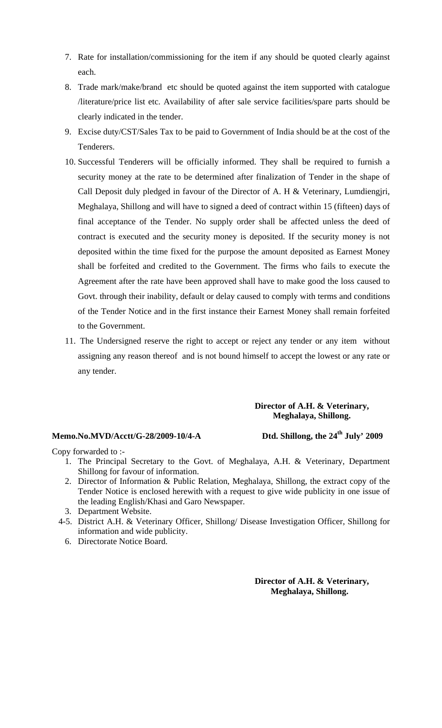- 7. Rate for installation/commissioning for the item if any should be quoted clearly against each.
- 8. Trade mark/make/brand etc should be quoted against the item supported with catalogue /literature/price list etc. Availability of after sale service facilities/spare parts should be clearly indicated in the tender.
- 9. Excise duty/CST/Sales Tax to be paid to Government of India should be at the cost of the Tenderers.
- 10. Successful Tenderers will be officially informed. They shall be required to furnish a security money at the rate to be determined after finalization of Tender in the shape of Call Deposit duly pledged in favour of the Director of A. H & Veterinary, Lumdiengjri, Meghalaya, Shillong and will have to signed a deed of contract within 15 (fifteen) days of final acceptance of the Tender. No supply order shall be affected unless the deed of contract is executed and the security money is deposited. If the security money is not deposited within the time fixed for the purpose the amount deposited as Earnest Money shall be forfeited and credited to the Government. The firms who fails to execute the Agreement after the rate have been approved shall have to make good the loss caused to Govt. through their inability, default or delay caused to comply with terms and conditions of the Tender Notice and in the first instance their Earnest Money shall remain forfeited to the Government.
- 11. The Undersigned reserve the right to accept or reject any tender or any item without assigning any reason thereof and is not bound himself to accept the lowest or any rate or any tender.

## **Director of A.H. & Veterinary, Meghalaya, Shillong.**

## **Memo.No.MVD/Acctt/G-28/2009-10/4-A Dtd. Shillong, the 24th July' 2009**

Copy forwarded to :-

- 1. The Principal Secretary to the Govt. of Meghalaya, A.H. & Veterinary, Department Shillong for favour of information.
- 2. Director of Information & Public Relation, Meghalaya, Shillong, the extract copy of the Tender Notice is enclosed herewith with a request to give wide publicity in one issue of the leading English/Khasi and Garo Newspaper.
- 3. Department Website.
- 4-5. District A.H. & Veterinary Officer, Shillong/ Disease Investigation Officer, Shillong for information and wide publicity.
	- 6. Directorate Notice Board.

**Director of A.H. & Veterinary, Meghalaya, Shillong.**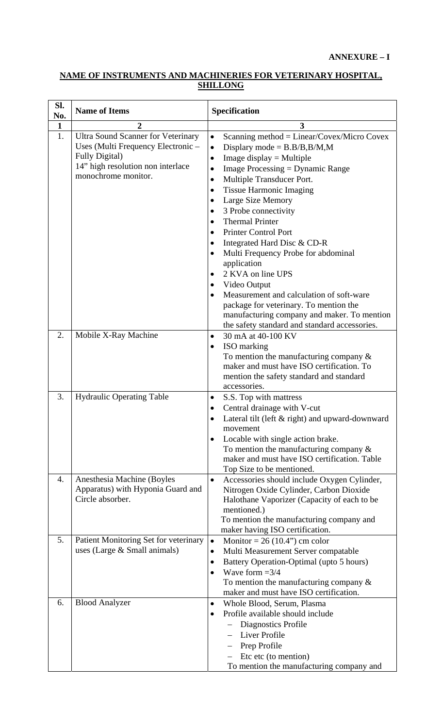# **NAME OF INSTRUMENTS AND MACHINERIES FOR VETERINARY HOSPITAL, SHILLONG**

| Sl.<br>No.   | <b>Name of Items</b>                                                                                                                                                  | Specification                                                                                                                                                                                                                                                                                                                                                                                                                                                                                                                                                                                                       |  |
|--------------|-----------------------------------------------------------------------------------------------------------------------------------------------------------------------|---------------------------------------------------------------------------------------------------------------------------------------------------------------------------------------------------------------------------------------------------------------------------------------------------------------------------------------------------------------------------------------------------------------------------------------------------------------------------------------------------------------------------------------------------------------------------------------------------------------------|--|
| $\mathbf{1}$ | $\overline{2}$                                                                                                                                                        | 3                                                                                                                                                                                                                                                                                                                                                                                                                                                                                                                                                                                                                   |  |
| 1.           | <b>Ultra Sound Scanner for Veterinary</b><br>Uses (Multi Frequency Electronic –<br><b>Fully Digital</b> )<br>14" high resolution non interlace<br>monochrome monitor. | Scanning method = $Linear/Covex/MicroCovex$<br>$\bullet$<br>Displary mode = $B.B/B,B/M,M$<br>$\bullet$<br>Image display $=$ Multiple<br>Image Processing $=$ Dynamic Range<br>$\bullet$<br>Multiple Transducer Port.<br>$\bullet$<br><b>Tissue Harmonic Imaging</b><br>Large Size Memory<br>3 Probe connectivity<br><b>Thermal Printer</b><br>$\bullet$<br><b>Printer Control Port</b><br>Integrated Hard Disc & CD-R<br>Multi Frequency Probe for abdominal<br>application<br>2 KVA on line UPS<br>$\bullet$<br>Video Output<br>Measurement and calculation of soft-ware<br>package for veterinary. To mention the |  |
|              |                                                                                                                                                                       | manufacturing company and maker. To mention<br>the safety standard and standard accessories.                                                                                                                                                                                                                                                                                                                                                                                                                                                                                                                        |  |
| 2.           | Mobile X-Ray Machine                                                                                                                                                  | 30 mA at 40-100 KV<br>$\bullet$                                                                                                                                                                                                                                                                                                                                                                                                                                                                                                                                                                                     |  |
|              |                                                                                                                                                                       | ISO marking<br>To mention the manufacturing company $\&$<br>maker and must have ISO certification. To<br>mention the safety standard and standard<br>accessories.                                                                                                                                                                                                                                                                                                                                                                                                                                                   |  |
| 3.           | <b>Hydraulic Operating Table</b>                                                                                                                                      | S.S. Top with mattress                                                                                                                                                                                                                                                                                                                                                                                                                                                                                                                                                                                              |  |
|              |                                                                                                                                                                       | Central drainage with V-cut                                                                                                                                                                                                                                                                                                                                                                                                                                                                                                                                                                                         |  |
|              |                                                                                                                                                                       | Lateral tilt (left & right) and upward-downward<br>movement<br>Locable with single action brake.<br>٠                                                                                                                                                                                                                                                                                                                                                                                                                                                                                                               |  |
|              |                                                                                                                                                                       | To mention the manufacturing company $\&$<br>maker and must have ISO certification. Table<br>Top Size to be mentioned.                                                                                                                                                                                                                                                                                                                                                                                                                                                                                              |  |
| 4.           | Anesthesia Machine (Boyles<br>Apparatus) with Hyponia Guard and<br>Circle absorber.                                                                                   | Accessories should include Oxygen Cylinder,<br>$\bullet$<br>Nitrogen Oxide Cylinder, Carbon Dioxide<br>Halothane Vaporizer (Capacity of each to be<br>mentioned.)<br>To mention the manufacturing company and<br>maker having ISO certification.                                                                                                                                                                                                                                                                                                                                                                    |  |
| 5.           | Patient Monitoring Set for veterinary<br>uses (Large $&$ Small animals)                                                                                               | Monitor = $26(10.4)$ ° cm color<br>$\bullet$<br>Multi Measurement Server compatable<br>$\bullet$<br>Battery Operation-Optimal (upto 5 hours)<br>٠<br>Wave form $=3/4$<br>$\bullet$<br>To mention the manufacturing company $\&$<br>maker and must have ISO certification.                                                                                                                                                                                                                                                                                                                                           |  |
| 6.           | <b>Blood Analyzer</b>                                                                                                                                                 | Whole Blood, Serum, Plasma<br>٠<br>Profile available should include<br>$\bullet$<br>Diagnostics Profile<br><b>Liver Profile</b><br>Prep Profile<br>Etc etc (to mention)<br>To mention the manufacturing company and                                                                                                                                                                                                                                                                                                                                                                                                 |  |